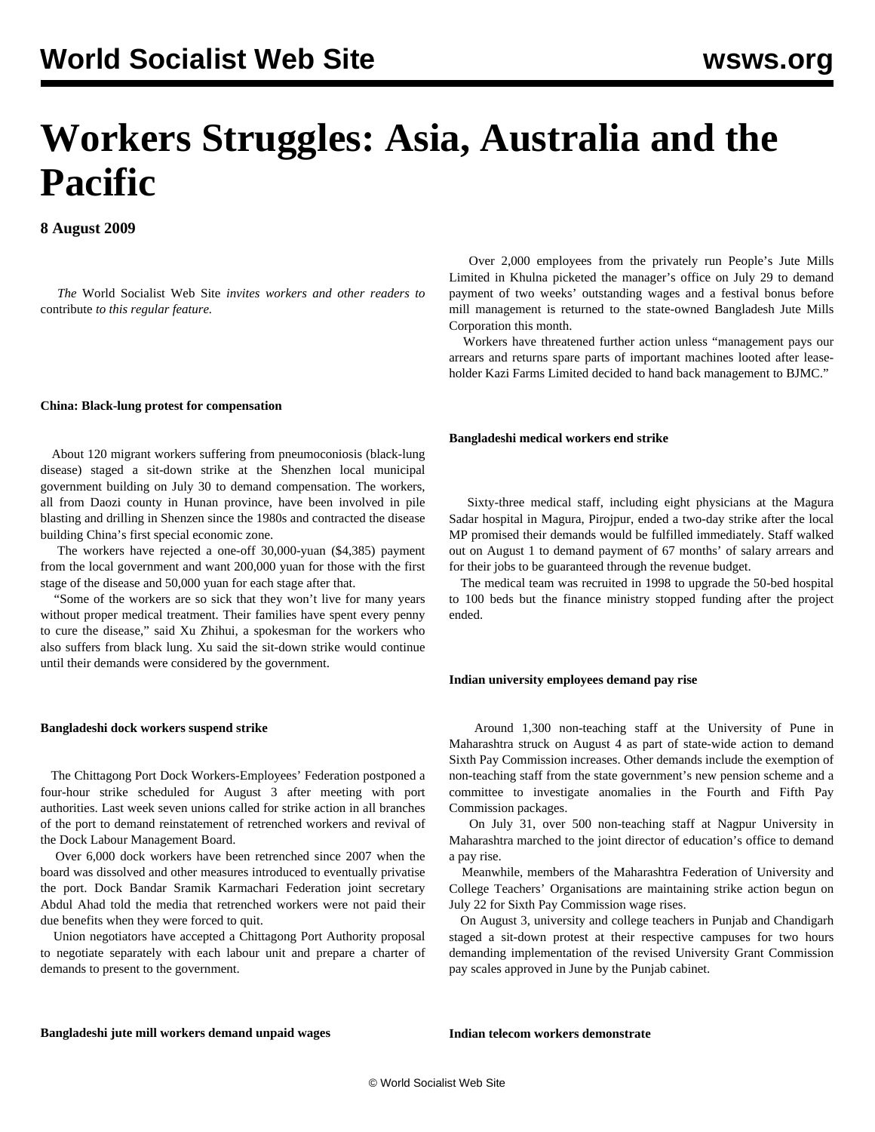# **Workers Struggles: Asia, Australia and the Pacific**

**8 August 2009**

 *The* World Socialist Web Site *invites workers and other readers to* [contribute](/wsws/dd-formmailer/dd-formmailer.php) *to this regular feature.*

#### **China: Black-lung protest for compensation**

 About 120 migrant workers suffering from pneumoconiosis (black-lung disease) staged a sit-down strike at the Shenzhen local municipal government building on July 30 to demand compensation. The workers, all from Daozi county in Hunan province, have been involved in pile blasting and drilling in Shenzen since the 1980s and contracted the disease building China's first special economic zone.

 The workers have rejected a one-off 30,000-yuan (\$4,385) payment from the local government and want 200,000 yuan for those with the first stage of the disease and 50,000 yuan for each stage after that.

 "Some of the workers are so sick that they won't live for many years without proper medical treatment. Their families have spent every penny to cure the disease," said Xu Zhihui, a spokesman for the workers who also suffers from black lung. Xu said the sit-down strike would continue until their demands were considered by the government.

# **Bangladeshi dock workers suspend strike**

 The Chittagong Port Dock Workers-Employees' Federation postponed a four-hour strike scheduled for August 3 after meeting with port authorities. Last week seven unions called for strike action in all branches of the port to demand reinstatement of retrenched workers and revival of the Dock Labour Management Board.

 Over 6,000 dock workers have been retrenched since 2007 when the board was dissolved and other measures introduced to eventually privatise the port. Dock Bandar Sramik Karmachari Federation joint secretary Abdul Ahad told the media that retrenched workers were not paid their due benefits when they were forced to quit.

 Union negotiators have accepted a Chittagong Port Authority proposal to negotiate separately with each labour unit and prepare a charter of demands to present to the government.

 Over 2,000 employees from the privately run People's Jute Mills Limited in Khulna picketed the manager's office on July 29 to demand payment of two weeks' outstanding wages and a festival bonus before mill management is returned to the state-owned Bangladesh Jute Mills Corporation this month.

 Workers have threatened further action unless "management pays our arrears and returns spare parts of important machines looted after leaseholder Kazi Farms Limited decided to hand back management to BJMC."

# **Bangladeshi medical workers end strike**

 Sixty-three medical staff, including eight physicians at the Magura Sadar hospital in Magura, Pirojpur, ended a two-day strike after the local MP promised their demands would be fulfilled immediately. Staff walked out on August 1 to demand payment of 67 months' of salary arrears and for their jobs to be guaranteed through the revenue budget.

 The medical team was recruited in 1998 to upgrade the 50-bed hospital to 100 beds but the finance ministry stopped funding after the project ended.

# **Indian university employees demand pay rise**

 Around 1,300 non-teaching staff at the University of Pune in Maharashtra struck on August 4 as part of state-wide action to demand Sixth Pay Commission increases. Other demands include the exemption of non-teaching staff from the state government's new pension scheme and a committee to investigate anomalies in the Fourth and Fifth Pay Commission packages.

 On July 31, over 500 non-teaching staff at Nagpur University in Maharashtra marched to the joint director of education's office to demand a pay rise.

 Meanwhile, members of the Maharashtra Federation of University and College Teachers' Organisations are maintaining strike action begun on July 22 for Sixth Pay Commission wage rises.

 On August 3, university and college teachers in Punjab and Chandigarh staged a sit-down protest at their respective campuses for two hours demanding implementation of the revised University Grant Commission pay scales approved in June by the Punjab cabinet.

# **Bangladeshi jute mill workers demand unpaid wages**

**Indian telecom workers demonstrate**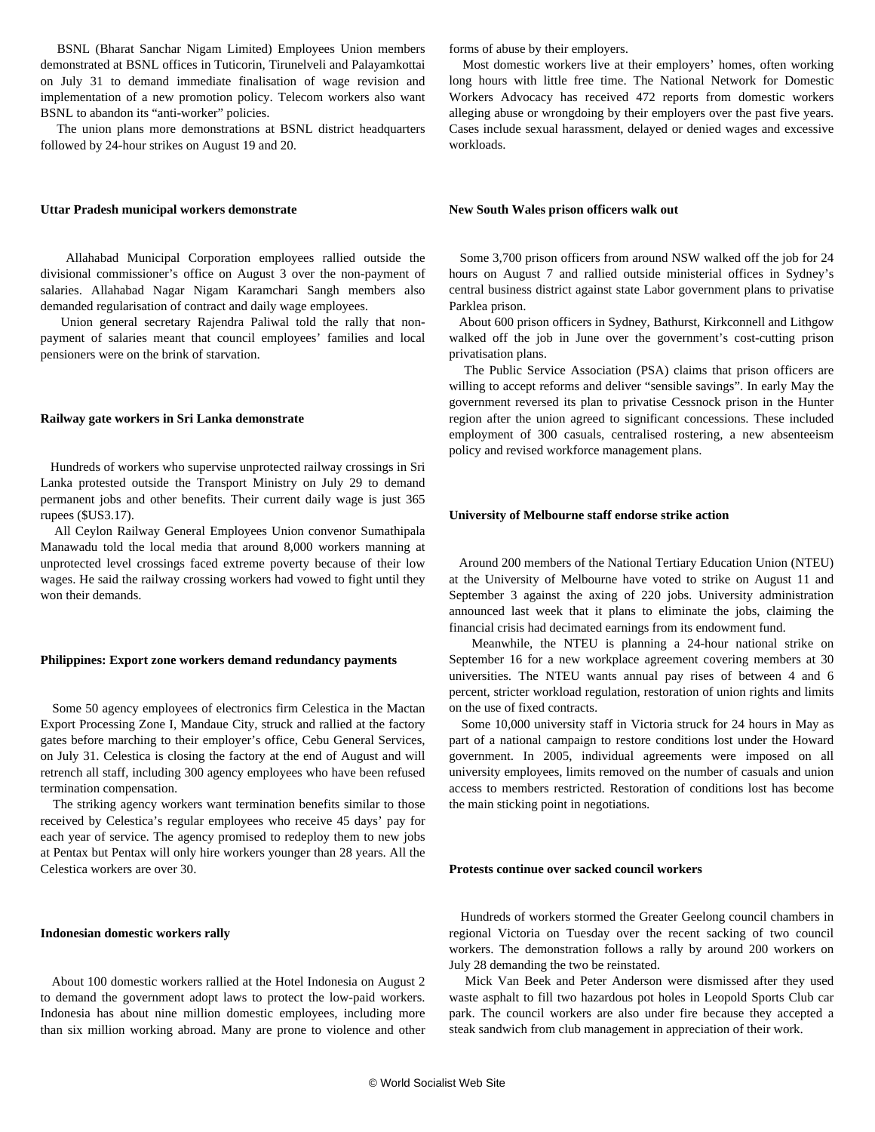BSNL (Bharat Sanchar Nigam Limited) Employees Union members demonstrated at BSNL offices in Tuticorin, Tirunelveli and Palayamkottai on July 31 to demand immediate finalisation of wage revision and implementation of a new promotion policy. Telecom workers also want BSNL to abandon its "anti-worker" policies.

 The union plans more demonstrations at BSNL district headquarters followed by 24-hour strikes on August 19 and 20.

### **Uttar Pradesh municipal workers demonstrate**

 Allahabad Municipal Corporation employees rallied outside the divisional commissioner's office on August 3 over the non-payment of salaries. Allahabad Nagar Nigam Karamchari Sangh members also demanded regularisation of contract and daily wage employees.

 Union general secretary Rajendra Paliwal told the rally that nonpayment of salaries meant that council employees' families and local pensioners were on the brink of starvation.

#### **Railway gate workers in Sri Lanka demonstrate**

 Hundreds of workers who supervise unprotected railway crossings in Sri Lanka protested outside the Transport Ministry on July 29 to demand permanent jobs and other benefits. Their current daily wage is just 365 rupees (\$US3.17).

 All Ceylon Railway General Employees Union convenor Sumathipala Manawadu told the local media that around 8,000 workers manning at unprotected level crossings faced extreme poverty because of their low wages. He said the railway crossing workers had vowed to fight until they won their demands.

# **Philippines: Export zone workers demand redundancy payments**

 Some 50 agency employees of electronics firm Celestica in the Mactan Export Processing Zone I, Mandaue City, struck and rallied at the factory gates before marching to their employer's office, Cebu General Services, on July 31. Celestica is closing the factory at the end of August and will retrench all staff, including 300 agency employees who have been refused termination compensation.

 The striking agency workers want termination benefits similar to those received by Celestica's regular employees who receive 45 days' pay for each year of service. The agency promised to redeploy them to new jobs at Pentax but Pentax will only hire workers younger than 28 years. All the Celestica workers are over 30.

#### **Indonesian domestic workers rally**

 About 100 domestic workers rallied at the Hotel Indonesia on August 2 to demand the government adopt laws to protect the low-paid workers. Indonesia has about nine million domestic employees, including more than six million working abroad. Many are prone to violence and other forms of abuse by their employers.

 Most domestic workers live at their employers' homes, often working long hours with little free time. The National Network for Domestic Workers Advocacy has received 472 reports from domestic workers alleging abuse or wrongdoing by their employers over the past five years. Cases include sexual harassment, delayed or denied wages and excessive workloads.

#### **New South Wales prison officers walk out**

 Some 3,700 prison officers from around NSW walked off the job for 24 hours on August 7 and rallied outside ministerial offices in Sydney's central business district against state Labor government plans to privatise Parklea prison.

 About 600 prison officers in Sydney, Bathurst, Kirkconnell and Lithgow walked off the job in June over the government's cost-cutting prison privatisation plans.

 The Public Service Association (PSA) claims that prison officers are willing to accept reforms and deliver "sensible savings". In early May the government reversed its plan to privatise Cessnock prison in the Hunter region after the union agreed to significant concessions. These included employment of 300 casuals, centralised rostering, a new absenteeism policy and revised workforce management plans.

# **University of Melbourne staff endorse strike action**

 Around 200 members of the National Tertiary Education Union (NTEU) at the University of Melbourne have voted to strike on August 11 and September 3 against the axing of 220 jobs. University administration announced last week that it plans to eliminate the jobs, claiming the financial crisis had decimated earnings from its endowment fund.

 Meanwhile, the NTEU is planning a 24-hour national strike on September 16 for a new workplace agreement covering members at 30 universities. The NTEU wants annual pay rises of between 4 and 6 percent, stricter workload regulation, restoration of union rights and limits on the use of fixed contracts.

 Some 10,000 university staff in Victoria struck for 24 hours in May as part of a national campaign to restore conditions lost under the Howard government. In 2005, individual agreements were imposed on all university employees, limits removed on the number of casuals and union access to members restricted. Restoration of conditions lost has become the main sticking point in negotiations.

### **Protests continue over sacked council workers**

 Hundreds of workers stormed the Greater Geelong council chambers in regional Victoria on Tuesday over the recent sacking of two council workers. The demonstration follows a rally by around 200 workers on July 28 demanding the two be reinstated.

 Mick Van Beek and Peter Anderson were dismissed after they used waste asphalt to fill two hazardous pot holes in Leopold Sports Club car park. The council workers are also under fire because they accepted a steak sandwich from club management in appreciation of their work.